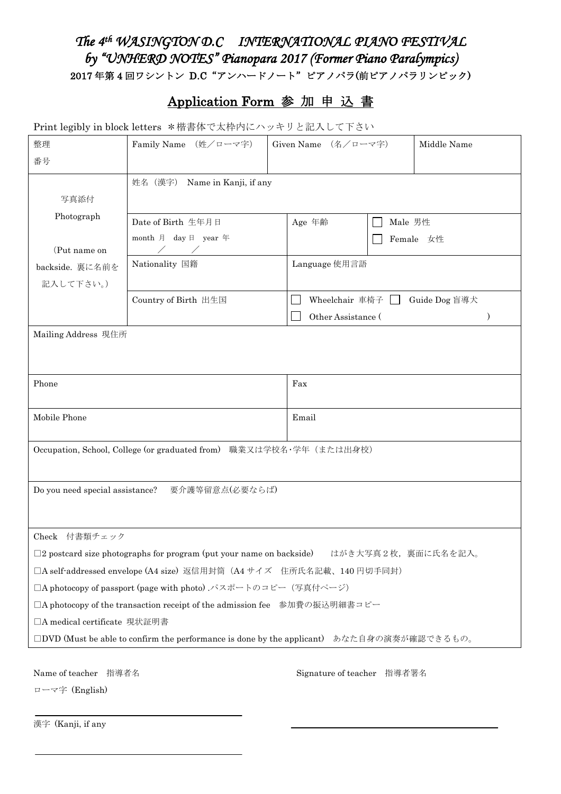# The 4<sup>th</sup> WASINGTON D.C INTERNATIONAL PIANO FESTIVAL *by "UNHERD NOTES" Pianopara 2017 (Former Piano Paralympics)*  - 2017年第4回ワシントン D.C "アンハードノート"ピアノパラ(前ピアノパラリンピック)

## Application Form 参 加 申 込 書

Print legibly in block letters \*楷書体で太枠内にハッキリと記入して下さい

| 整理                                                                                                  | Family Name (姓/ローマ字)                                                | Given Name (名/ローマ字)        | Middle Name   |
|-----------------------------------------------------------------------------------------------------|---------------------------------------------------------------------|----------------------------|---------------|
| 番号                                                                                                  |                                                                     |                            |               |
|                                                                                                     | 姓名 (漢字)<br>Name in Kanji, if any                                    |                            |               |
| 写真添付                                                                                                |                                                                     |                            |               |
| Photograph                                                                                          | Date of Birth 生年月日                                                  | Age 年齢                     | Male 男性       |
|                                                                                                     | month 月 day 日 year 年                                                |                            | Female 女性     |
| (Put name on                                                                                        | $\sqrt{2}$                                                          |                            |               |
| backside. 裏に名前を                                                                                     | Nationality 国籍                                                      | Language 使用言語              |               |
| 記入して下さい。)                                                                                           |                                                                     |                            |               |
|                                                                                                     | Country of Birth 出生国                                                | Wheelchair 車椅子<br>L.       | Guide Dog 盲導犬 |
|                                                                                                     |                                                                     | Other Assistance (         | $\mathcal{E}$ |
| Mailing Address 現住所                                                                                 |                                                                     |                            |               |
|                                                                                                     |                                                                     |                            |               |
|                                                                                                     |                                                                     |                            |               |
| Phone                                                                                               |                                                                     | Fax                        |               |
|                                                                                                     |                                                                     |                            |               |
| Mobile Phone                                                                                        |                                                                     | Email                      |               |
|                                                                                                     |                                                                     |                            |               |
|                                                                                                     | Occupation, School, College (or graduated from) 職業又は学校名·学年 (または出身校) |                            |               |
|                                                                                                     |                                                                     |                            |               |
| Do you need special assistance?                                                                     | 要介護等留意点(必要ならば)                                                      |                            |               |
|                                                                                                     |                                                                     |                            |               |
|                                                                                                     |                                                                     |                            |               |
| Check 付書類チェック                                                                                       |                                                                     |                            |               |
| $\square$ 2 postcard size photographs for program (put your name on backside)<br>はがき大写真2枚、裏面に氏名を記入。 |                                                                     |                            |               |
| □A self-addressed envelope (A4 size) 返信用封筒 (A4 サイズ 住所氏名記載、140 円切手同封)                                |                                                                     |                            |               |
| □A photocopy of passport (page with photo) パスポートのコピー (写真付ページ)                                       |                                                                     |                            |               |
| □A photocopy of the transaction receipt of the admission fee 参加費の振込明細書コピー                           |                                                                     |                            |               |
| □A medical certificate 現状証明書                                                                        |                                                                     |                            |               |
| □DVD (Must be able to confirm the performance is done by the applicant) あなた自身の演奏が確認できるもの。           |                                                                     |                            |               |
|                                                                                                     |                                                                     |                            |               |
| Name of teacher 指導者名                                                                                |                                                                     | Signature of teacher 指導者署名 |               |

ローマ字 (English)

漢字 (Kanji, if any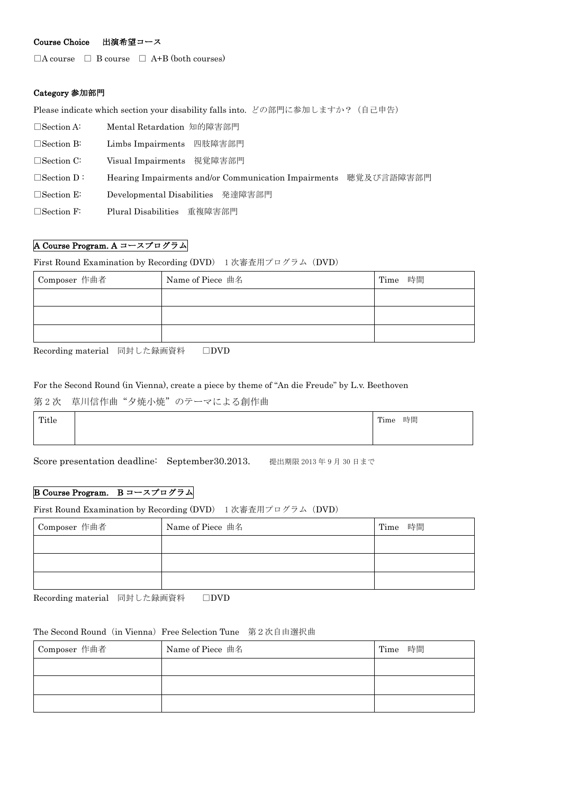### Course Choice 出演希望コース

 $\Box$  A course  $\Box$  B course  $\Box$  A+B (both courses)

### Category 参加部門

Please indicate which section your disability falls into. どの部門に参加しますか? (自己申告)

| $\Box$ Section A: | Mental Retardation 知的障害部門                            |            |
|-------------------|------------------------------------------------------|------------|
| $\Box$ Section B: | 四肢障害部門<br>Limbs Impairments                          |            |
| $\Box$ Section C: | Visual Impairments 視覚障害部門                            |            |
| $\Box$ Section D: | Hearing Impairments and/or Communication Impairments | 聴覚及び言語障害部門 |
| $\Box$ Section E: | Developmental Disabilities 発達障害部門                    |            |
| $\Box$ Section F: | 重複障害部門<br>Plural Disabilities                        |            |

### A Course Program. A コースプログラム

First Round Examination by Recording (DVD) 1 次審査用プログラム(DVD)

| Composer 作曲者 | Name of Piece 曲名 | Time 時間 |
|--------------|------------------|---------|
|              |                  |         |
|              |                  |         |
|              |                  |         |

Recording material 同封した録画資料 □DVD

#### For the Second Round (in Vienna), create a piece by theme of "An die Freude" by L.v. Beethoven

### 第2次 草川信作曲"夕焼小焼"のテーマによる創作曲

| Title | 時間<br>Time |
|-------|------------|
|       |            |

Score presentation deadline: September30.2013. 提出期限 2013 年 9 月 30 日まで

### B Course Program. B コースプログラム

First Round Examination by Recording (DVD) 1次審査用プログラム (DVD)

| Composer 作曲者 | Name of Piece 曲名 | Time 時間 |
|--------------|------------------|---------|
|              |                  |         |
|              |                  |         |
|              |                  |         |

Recording material 同封した録画資料 □DVD

#### The Second Round (in Vienna) Free Selection Tune 第2次自由選択曲

| Composer 作曲者 | Name of Piece 曲名 | Time 時間 |
|--------------|------------------|---------|
|              |                  |         |
|              |                  |         |
|              |                  |         |